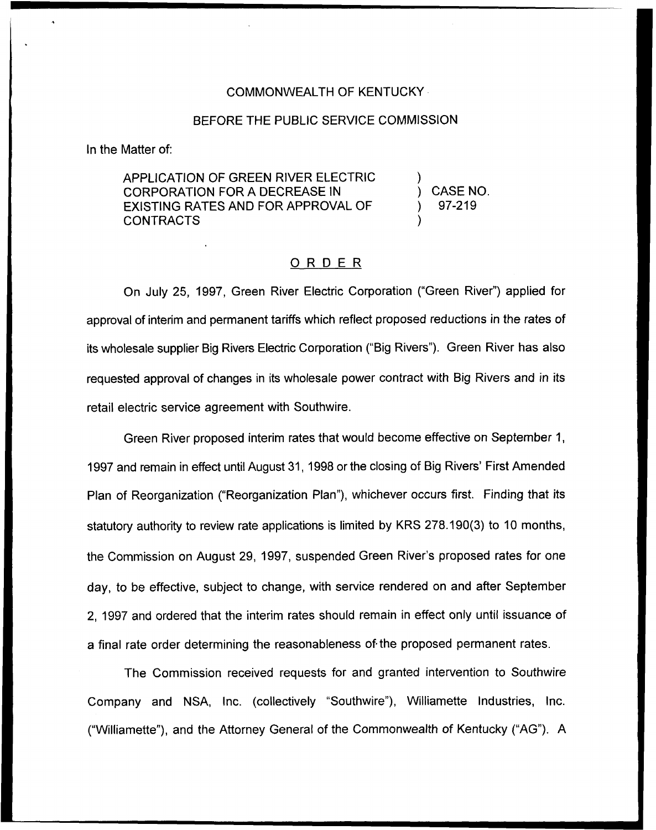#### COMMONWEALTH OF KENTUCKY

#### BEFORE THE PUBLIC SERVICE COMMISSION

In the Matter of:

APPLICATION OF GREEN RIVER ELECTRIC CORPORATION FOR A DECREASE IN EXISTING RATES AND FOR APPROVAL OF CONTRACTS

) CASE NO. ) 97-219

)

)

#### ORDER

On July 25, 1997, Green River Electric Corporation ("Green River") applied for approval of interim and permanent tariffs which reflect proposed reductions in the rates of its wholesale supplier Big Rivers Electric Corporation ("Big Rivers"). Green River has also requested approval of changes in its wholesale power contract with Big Rivers and in its retail electric service agreement with Southwire.

Green River proposed interim rates that would become effective on September 1, 1997 and remain in effect until August 31, 1998 or the closing of Big Rivers' First Amended Plan of Reorganization ("Reorganization Plan"), whichever occurs first. Finding that its statutory authority to review rate applications is limited by KRS 278.190(3) to 10 months, the Commission on August 29, 1997, suspended Green River's proposed rates for one day, to be effective, subject to change, with service rendered on and after September 2, 1997 and ordered that the interim rates should remain in effect only until issuance of a final rate order determining the reasonableness of the proposed permanent rates.

The Commission received requests for and granted intervention to Southwire Company and NSA, Inc. (collectively "Southwire"), Williamette Industries, Inc. ("Williamette"), and the Attorney General of the Commonwealth of Kentucky ("AG"). A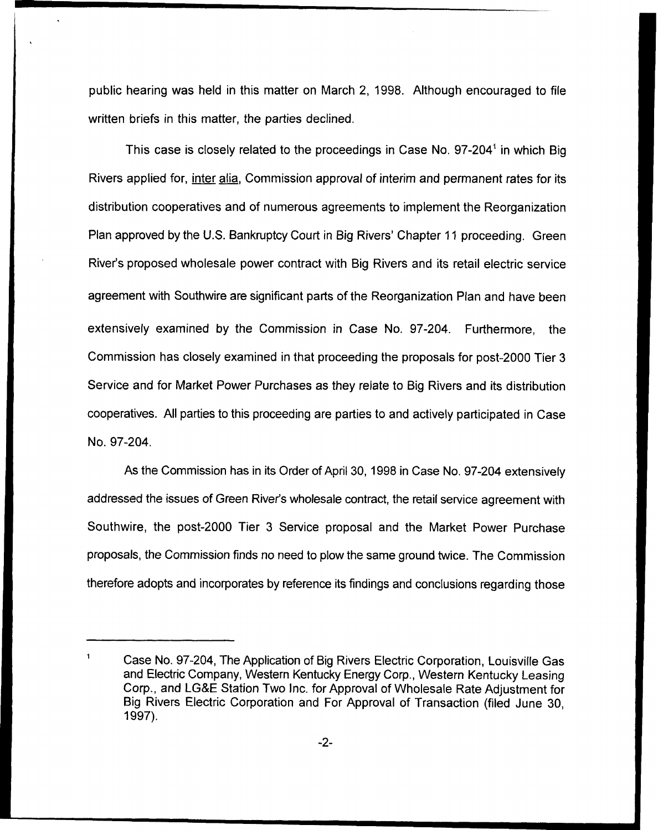public hearing was held in this matter on March 2, 1998. Although encouraged to file written briefs in this matter, the parties declined.

This case is closely related to the proceedings in Case No.  $97-204<sup>1</sup>$  in which Big Rivers applied for, inter alia, Commission approval of interim and permanent rates for its distribution cooperatives and of numerous agreements to implement the Reorganization Plan approved by the U.S. Bankruptcy Court in Big Rivers' Chapter 11 proceeding. Green River's proposed wholesale power contract with Big Rivers and its retail electric service agreement with Southwire are significant parts of the Reorganization Plan and have been extensively examined by the Commission in Case No. 97-204. Furthermore, the Commission has closely examined in that proceeding the proposals for post-2000 Tier 3 Service and for Market Power Purchases as they relate to Big Rivers and its distribution cooperatives. All parties to this proceeding are parties to and actively participated in Case No. 97-204.

As the Commission has in its Order of April 30, 1998 in Case No. 97-204 extensively addressed the issues of Green River's wholesale contract, the retail service agreement with Southwire, the post-2000 Tier 3 Service proposal and the Market Power Purchase proposals, the Commission finds no need to plow the same ground twice. The Commission therefore adopts and incorporates by reference its findings and conclusions regarding those

Case No. 97-204, The Application of Big Rivers Electric Corporation, Louisville Gas and Electric Company, Western Kentucky Energy Corp., Western Kentucky Leasing Corp., and LG&E Station Two Inc. for Approval of Wholesale Rate Adjustment for Big Rivers Electric Corporation and For Approval of Transaction (filed June 30, 1997).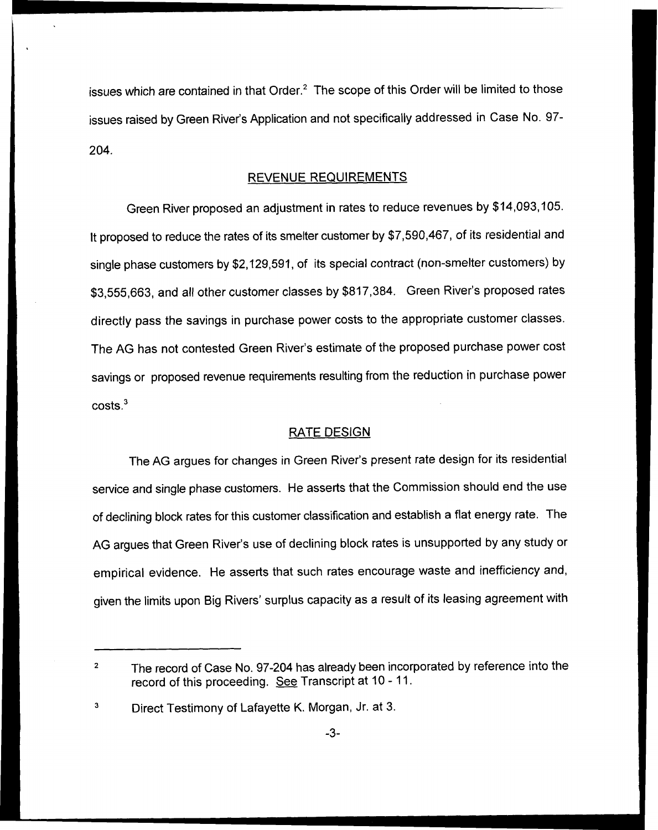issues which are contained in that Order.<sup>2</sup> The scope of this Order will be limited to those issues raised by Green River's Application and not specifically addressed in Case No. 97- 204.

#### REVENUE REQUIREMENTS

Green River proposed an adjustment in rates to reduce revenues by \$14,093,105. It proposed to reduce the rates of its smelter customer by \$7,590,467, of its residential and single phase customers by \$2,129,591, of its special contract (non-smelter customers) by \$3,555,663, and all other customer classes by \$817,384. Green River's proposed rates directly pass the savings in purchase power costs to the appropriate customer classes. The AG has not contested Green River's estimate of the proposed purchase power cost savings or proposed revenue requirements resulting from the reduction in purchase power  $costs.<sup>3</sup>$ 

#### RATE DESIGN

The AG argues for changes in Green River's present rate design for its residential service and single phase customers. He asserts that the Commission should end the use of declining block rates for this customer classification and establish a flat energy rate. The AG argues that Green River's use of declining block rates is unsupported by any study or empirical evidence. He asserts that such rates encourage waste and inefficiency and, given the limits upon Big Rivers' surplus capacity as a result of its leasing agreement with

The record of Case No. 97-204 has already been incorporated by reference into the  $\overline{2}$ record of this proceeding. See Transcript at 10 - 11.

<sup>3</sup> Direct Testimony of Lafayette K. Morgan, Jr. at 3.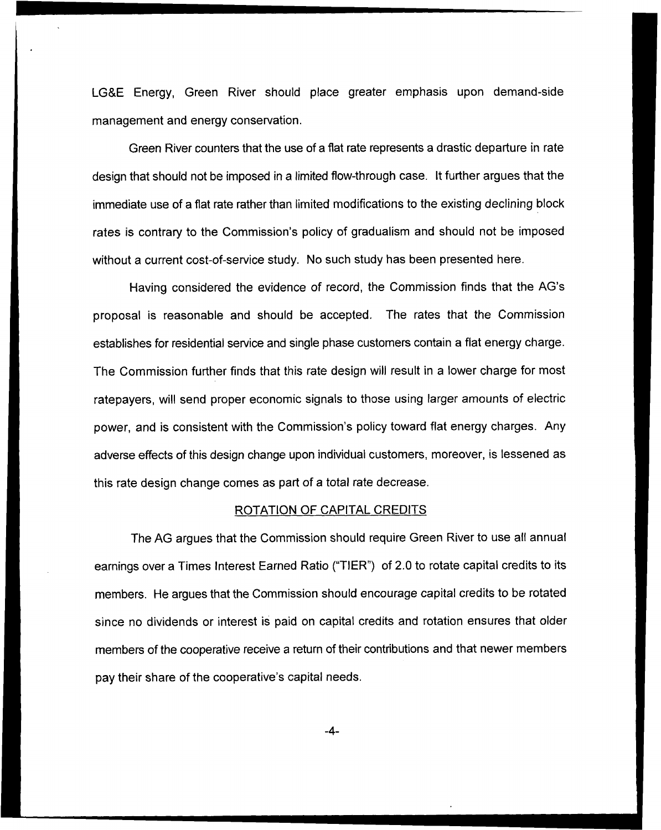LG&E Energy, Green River should place greater emphasis upon demand-side management and energy conservation.

Green River counters that the use of a flat rate represents a drastic departure in rate design that should not be imposed in a limited flow-through case. It further argues that the immediate use of a flat rate rather than limited modifications to the existing declining block rates is contrary to the Commission's policy of gradualism and should not be imposed without a current cost-of-service study. No such study has been presented here.

Having considered the evidence of record, the Commission finds that the AG's proposal is reasonable and should be accepted. The rates that the Commission establishes for residential service and single phase customers contain a flat energy charge. The Commission further finds that this rate design will result in a lower charge for most ratepayers, will send proper economic signals to those using larger amounts of electric power, and is consistent with the Commission's policy toward flat energy charges. Any adverse effects of this design change upon individual customers, moreover, is lessened as this rate design change comes as part of a total rate decrease.

#### ROTATION OF CAPITAL CREDITS

The AG argues that the Commission should require Green River to use all annual earnings over a Times Interest Earned Ratio ("TIER"} of 2.0 to rotate capital credits to its members. He argues that the Commission should encourage capital credits to be rotated since no dividends or interest is paid on capital credits and rotation ensures that older members of the cooperative receive a return of their contributions and that newer members pay their share of the cooperative's capital needs.

-4-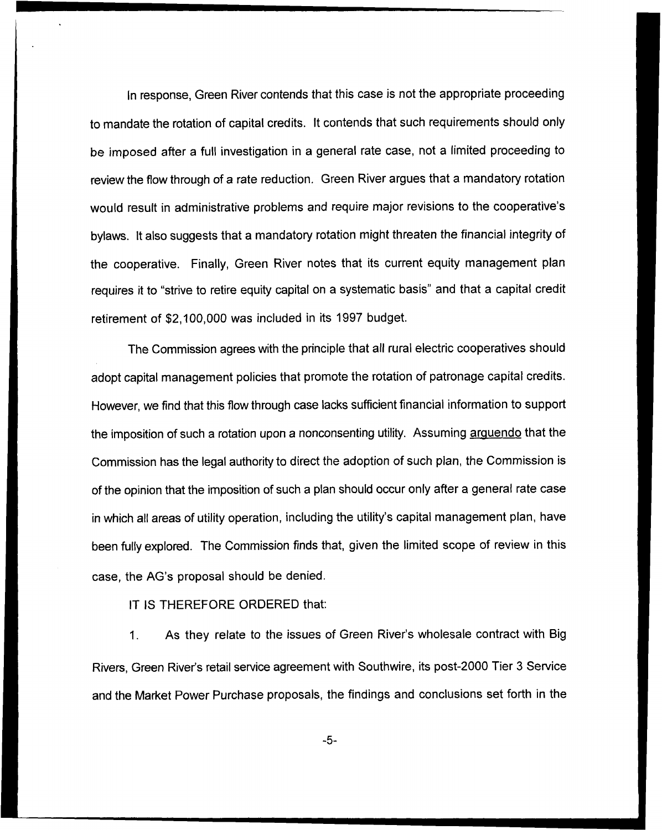In response, Green River contends that this case is not the appropriate proceeding to mandate the rotation of capital credits. It contends that such requirements should only be imposed after a full investigation in a general rate case, not a limited proceeding to review the flow through of a rate reduction. Green River argues that a mandatory rotation would result in administrative problems and require major revisions to the cooperative's bylaws. It also suggests that a mandatory rotation might threaten the financial integrity of the cooperative. Finally, Green River notes that its current equity management plan requires it to "strive to retire equity capital on a systematic basis" and that a capital credit retirement of \$2,100,000 was included in its 1997 budget.

The Commission agrees with the principle that all rural electric cooperatives should adopt capital management policies that promote the rotation of patronage capital credits. However, we find that this flow through case lacks sufficient financial information to support the imposition of such a rotation upon a nonconsenting utility. Assuming arguendo that the Commission has the legal authority to direct the adoption of such plan, the Commission is of the opinion that the imposition of such a plan should occur only after a general rate case in which all areas of utility operation, including the utility's capital management plan, have been fully explored. The Commission finds that, given the limited scope of review in this case, the AG's proposal should be denied.

#### IT IS THEREFORE ORDERED that:

As they relate to the issues of Green River's wholesale contract with Big  $1<sub>1</sub>$ Rivers, Green River's retail service agreement with Southwire, its post-2000 Tier 3 Service and the Market Power Purchase proposals, the findings and conclusions set forth in the

 $-5-$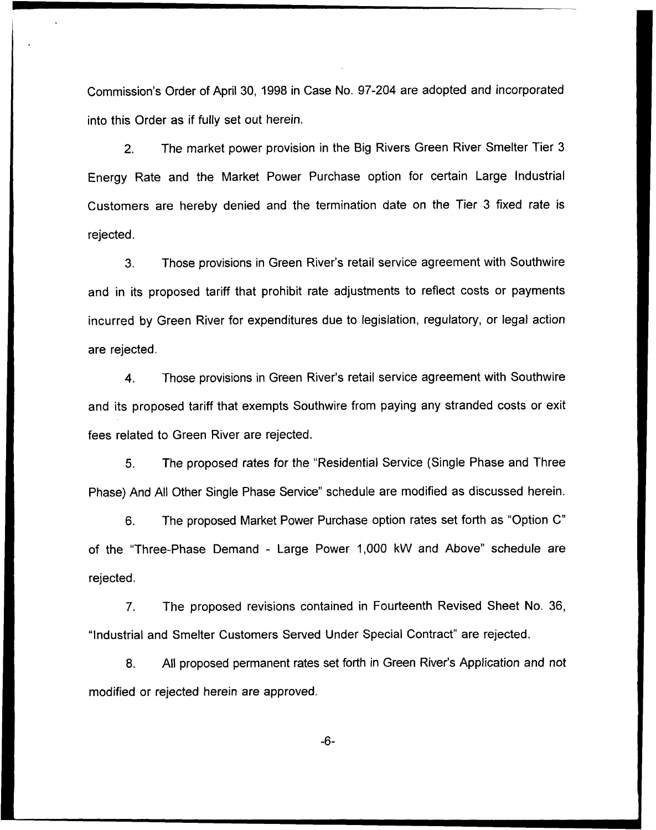Commission's Order of April 30, 1998 in Case No. 97-204 are adopted and incorporated into this Order as if fully set out herein.

2. The market power provision in the Big Rivers Green River Smelter Tier 3 Energy Rate and the Market Power Purchase option for certain Large Industrial Customers are hereby denied and the termination date on the Tier 3 fixed rate is rejected.

3. Those provisions in Green River's retail service agreement with Southwire and in its proposed tariff that prohibit rate adjustments to reflect costs or payments incurred by Green River for expenditures due to legislation, regulatory, or legal action are rejected.

4. Those provisions in Green River's retail service agreement with Southwire and its proposed tariff that exempts Southwire from paying any stranded costs or exit fees related to Green River are rejected.

5. The proposed rates for the "Residential Service {Single Phase and Three Phase) And All Other Single Phase Service" schedule are modified as discussed herein.

6. The proposed Market Power Purchase option rates set forth as "Option C" of the "Three-Phase Demand - Large Power 1,000 kW and Above" schedule are rejected.

7. The proposed revisions contained in Fourteenth Revised Sheet No. 36, "Industrial and Smelter Customers Served Under Special Contract" are rejected,

8. All proposed permanent rates set forth in Green River's Application and not modified or rejected herein are approved.

 $-6-$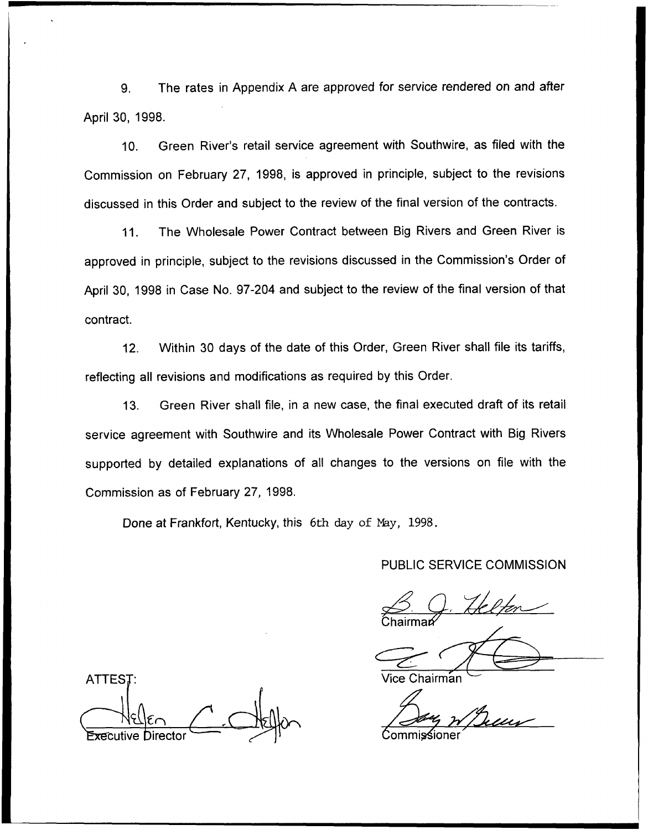9. The rates in Appendix <sup>A</sup> are approved for service rendered on and after April 30, 1998.

10. Green River's retail service agreement with Southwire, as filed with the Commission on February 27, 1998, is approved in principle, subject to the revisions discussed in this Order and subject to the review of the final version of the contracts.

11. The Wholesale Power Contract between Big Rivers and Green River is approved in principle, subject to the revisions discussed in the Commission's Order of April 30, 1998 in Case No. 97-204 and subject to the review of the final version of that contract.

12. Within 30 days of the date of this Order, Green River shall file its tariffs, reflecting all revisions and modifications as required by this Order.

13. Green River shall file, in a new case, the final executed draft of its retail service agreement with Southwire and its Wholesale Power Contract with Big Rivers supported by detailed explanations of all changes to the versions on file with the Commission as of February 27, 1998.

Done at Frankfort, Kentucky, this 6th day of Nay, 1998.

#### PUBLIC SERVICE COMMISSION

.<br>Chairmar

ATTEST: Vice Chairman tive Director  $\begin{array}{ccc} \sim & \rightarrow & \rightarrow & \end{array}$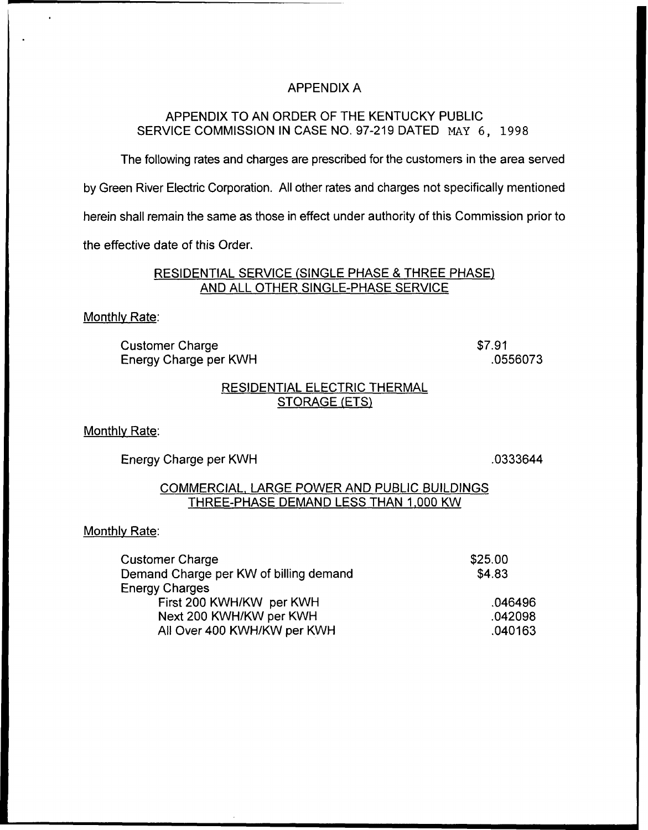### APPENDIX A

## APPENDIX TO AN ORDER OF THE KENTUCKY PUBLIC SERVICE COMMISSION IN CASE NO. 97-219 DATED MAY 6, 1998

The following rates and charges are prescribed for the customers in the area served

by Green River Electric Corporation. All other rates and charges not specifically mentioned

herein shall remain the same as those in effect under authority of this Commission prior to

the effective date of this Order.

### RESIDENTIAL SERVICE (SINGLE PHASE 8 THREE PHASE) AND ALL OTHER SINGLE-PHASE SERVICE

#### Monthlv Rate:

Customer Charge Energy Charge per KWH \$7.91 .0556073

## RESIDENTIAL ELECTRIC THERMAL STORAGE (ETS)

Monthlv Rate:

Energy Charge per KWH

.0333644

#### COMMERCIAL, LARGE POWER AND PUBLIC BUILD)NGS THREE-PHASE DEMAND LESS THAN 1.000 KW

#### Monthlv Rate:

| Customer Charge                        | \$25.00 |
|----------------------------------------|---------|
| Demand Charge per KW of billing demand | \$4.83  |
| Energy Charges                         |         |
| First 200 KWH/KW per KWH               | .046496 |
| Next 200 KWH/KW per KWH                | .042098 |
| All Over 400 KWH/KW per KWH            | .040163 |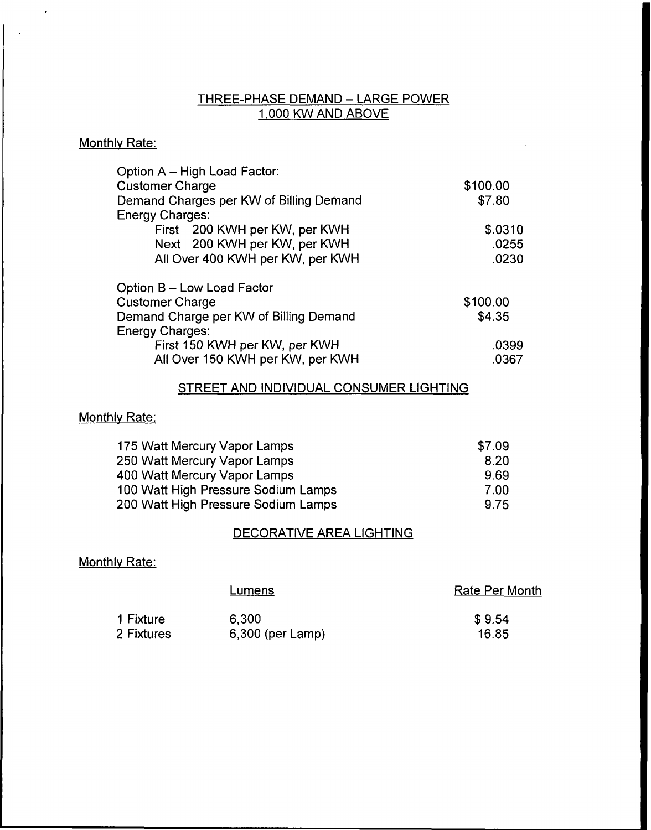# THREE-PHASE DEMAND —LARGE POWER 1,000 KW AND ABOVE

## Monthly Rate:

 $\hat{\mathbf{r}}$ 

| Option A - High Load Factor:            |          |
|-----------------------------------------|----------|
| <b>Customer Charge</b>                  | \$100.00 |
| Demand Charges per KW of Billing Demand | \$7.80   |
| <b>Energy Charges:</b>                  |          |
| First 200 KWH per KW, per KWH           | \$.0310  |
| Next 200 KWH per KW, per KWH            | .0255    |
| All Over 400 KWH per KW, per KWH        | .0230    |
| Option B - Low Load Factor              |          |
| <b>Customer Charge</b>                  | \$100.00 |
| Demand Charge per KW of Billing Demand  | \$4.35   |
| <b>Energy Charges:</b>                  |          |
| First 150 KWH per KW, per KWH           | .0399    |
| All Over 150 KWH per KW, per KWH        | .0367    |

## STREET AND INDIVIDUAL CONSUMER LIGHTING

## Monthly Rate:

| 175 Watt Mercury Vapor Lamps        | \$7.09 |
|-------------------------------------|--------|
| 250 Watt Mercury Vapor Lamps        | 8.20   |
| 400 Watt Mercury Vapor Lamps        | 9.69   |
| 100 Watt High Pressure Sodium Lamps | 7.00   |
| 200 Watt High Pressure Sodium Lamps | 9.75   |

## DECORATIVE AREA LIGHTING

## Monthly Rate:

|            | Lumens             | <b>Rate Per Month</b> |
|------------|--------------------|-----------------------|
| 1 Fixture  | 6.300              | \$9.54                |
| 2 Fixtures | $6,300$ (per Lamp) | 16.85                 |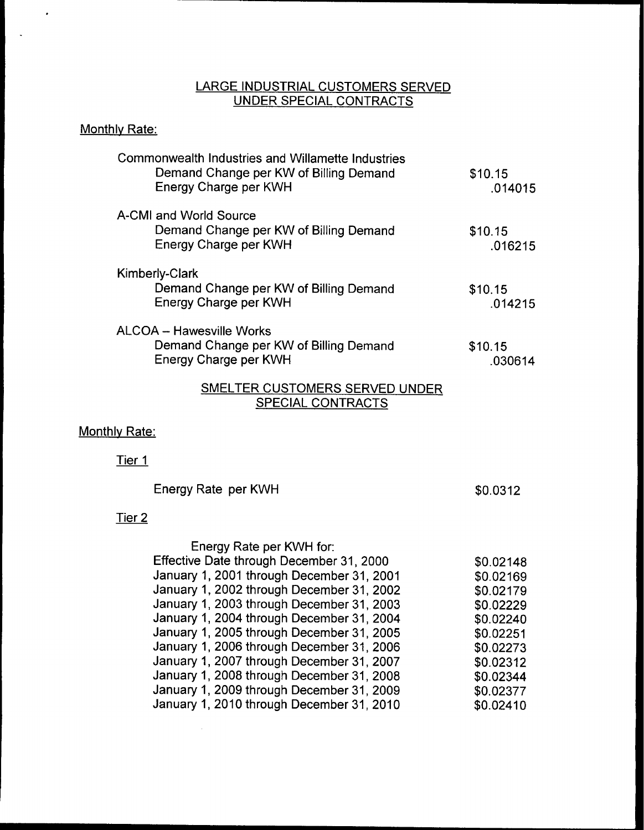### LARGE INDUSTRIAL CUSTOMERS SERVED <u>UNDER SPECIAL CONTRACTS</u>

# Monthly Rate:

 $\ddot{\phantom{0}}$ 

 $\sim$ 

| <b>Commonwealth Industries and Willamette Industries</b><br>Demand Change per KW of Billing Demand<br>Energy Charge per KWH | \$10.15<br>.014015 |
|-----------------------------------------------------------------------------------------------------------------------------|--------------------|
| A-CMI and World Source<br>Demand Change per KW of Billing Demand<br>Energy Charge per KWH                                   | \$10.15<br>.016215 |
| <b>Kimberly-Clark</b><br>Demand Change per KW of Billing Demand<br>Energy Charge per KWH                                    | \$10.15<br>.014215 |
| ALCOA - Hawesville Works<br>Demand Change per KW of Billing Demand<br>Energy Charge per KWH                                 | \$10.15<br>.030614 |
| CMELTED CHETOMEDE CEDVED HUD                                                                                                |                    |

### SMELTER CUSTOMERS SERVED UNDER <u>SPECIAL CONTRACTS</u>

## Monthly Rate:

Tier 1

| Energy Rate per KWH | \$0.0312 |
|---------------------|----------|
| <u>r 2</u>          |          |

# Tie

 $\sim$   $\sim$ 

| \$0.02148 |
|-----------|
| \$0.02169 |
| \$0.02179 |
| \$0.02229 |
| \$0.02240 |
| \$0.02251 |
| \$0.02273 |
| \$0.02312 |
| \$0.02344 |
| \$0.02377 |
| \$0.02410 |
|           |